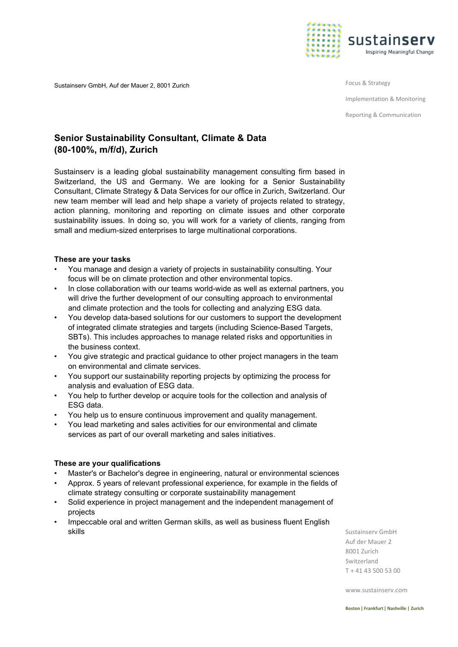

Sustainserv GmbH, Auf der Mauer 2, 8001 Zurich

Focus & Strategy

Implementation & Monitoring

Reporting & Communication

# **Senior Sustainability Consultant, Climate & Data (80-100%, m/f/d), Zurich**

Sustainserv is a leading global sustainability management consulting firm based in Switzerland, the US and Germany. We are looking for a Senior Sustainability Consultant, Climate Strategy & Data Services for our office in Zurich, Switzerland. Our new team member will lead and help shape a variety of projects related to strategy, action planning, monitoring and reporting on climate issues and other corporate sustainability issues. In doing so, you will work for a variety of clients, ranging from small and medium-sized enterprises to large multinational corporations.

## **These are your tasks**

- You manage and design a variety of projects in sustainability consulting. Your focus will be on climate protection and other environmental topics.
- In close collaboration with our teams world-wide as well as external partners, you will drive the further development of our consulting approach to environmental and climate protection and the tools for collecting and analyzing ESG data.
- You develop data-based solutions for our customers to support the development of integrated climate strategies and targets (including Science-Based Targets, SBTs). This includes approaches to manage related risks and opportunities in the business context.
- You give strategic and practical guidance to other project managers in the team on environmental and climate services.
- You support our sustainability reporting projects by optimizing the process for analysis and evaluation of ESG data.
- You help to further develop or acquire tools for the collection and analysis of ESG data.
- You help us to ensure continuous improvement and quality management.
- You lead marketing and sales activities for our environmental and climate services as part of our overall marketing and sales initiatives.

# **These are your qualifications**

- Master's or Bachelor's degree in engineering, natural or environmental sciences
- Approx. 5 years of relevant professional experience, for example in the fields of climate strategy consulting or corporate sustainability management
- Solid experience in project management and the independent management of projects
- Impeccable oral and written German skills, as well as business fluent English skills

Sustainserv GmbH Auf der Mauer 2 8001 Zurich Switzerland T + 41 43 500 53 00

[www.sustainserv.com](http://www.sustainserv.com/)